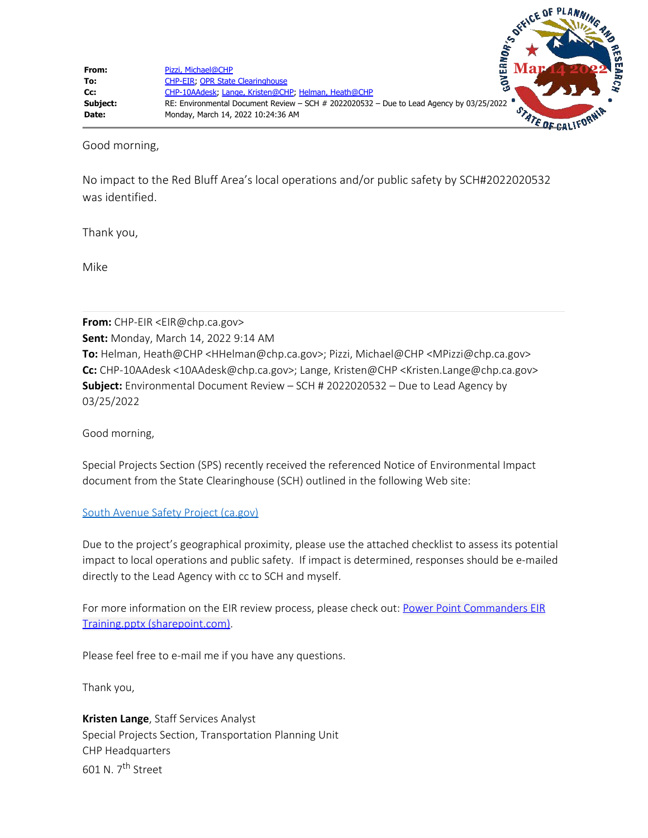Good morning,

No impact to the Red Bluff Area's local operations and/or public safety by SCH#2022020532 was identified.

Thank you,

Mike

**From:** CHP-EIR <EIR@chp.ca.gov> **Sent:** Monday, March 14, 2022 9:14 AM **To:** Helman, Heath@CHP <HHelman@chp.ca.gov>; Pizzi, Michael@CHP <MPizzi@chp.ca.gov> **Cc:** CHP-10AAdesk <10AAdesk@chp.ca.gov>; Lange, Kristen@CHP <Kristen.Lange@chp.ca.gov> **Subject:** Environmental Document Review – SCH # 2022020532 – Due to Lead Agency by 03/25/2022

Good morning,

Special Projects Section (SPS) recently received the referenced Notice of Environmental Impact document from the State Clearinghouse (SCH) outlined in the following Web site:

## [South Avenue Safety Project \(ca.gov\)](https://gcc02.safelinks.protection.outlook.com/?url=https%3A%2F%2Fceqanet.opr.ca.gov%2F2022020532&data=04%7C01%7CMPizzi%40chp.ca.gov%7Ccbee7f6dc58d4f0e75b408da05d5a340%7Cf1e2e89e71904b0f9463d7f5b09db86c%7C0%7C0%7C637828712363325820%7CUnknown%7CTWFpbGZsb3d8eyJWIjoiMC4wLjAwMDAiLCJQIjoiV2luMzIiLCJBTiI6Ik1haWwiLCJXVCI6Mn0%3D%7C3000&sdata=0lx7sX9tlDPAJHj3Jl%2BrmYVaUEfw6fP5S0eRfZ%2FaZkI%3D&reserved=0)

Due to the project's geographical proximity, please use the attached checklist to assess its potential impact to local operations and public safety. If impact is determined, responses should be e-mailed directly to the Lead Agency with cc to SCH and myself.

For more information on the EIR review process, please check out: [Power Point Commanders EIR](https://gcc02.safelinks.protection.outlook.com/ap/p-59584e83/?url=https%3A%2F%2Fchp2go.sharepoint.com%2F%3Ap%3A%2Fr%2Fsites%2FODS%2F_layouts%2F15%2FDoc.aspx%3Fsourcedoc%3D%257B86B20A37-285F-4C62-AFAD-4314A6E1CF86%257D%26file%3DPower%2520Point%2520Commanders%2520EIR%2520Training.pptx%26action%3Dedit%26mobileredirect%3Dtrue%26cid%3D81878af6-a99a-4784-acb1-7a94d2661d26&data=04%7C01%7CMPizzi%40chp.ca.gov%7Ccbee7f6dc58d4f0e75b408da05d5a340%7Cf1e2e89e71904b0f9463d7f5b09db86c%7C0%7C0%7C637828712363325820%7CUnknown%7CTWFpbGZsb3d8eyJWIjoiMC4wLjAwMDAiLCJQIjoiV2luMzIiLCJBTiI6Ik1haWwiLCJXVCI6Mn0%3D%7C3000&sdata=a8RNdf273SWrWji23LdoJVeuw64x4Ho%2BfFINj%2Ble8ec%3D&reserved=0) [Training.pptx \(sharepoint.com\).](https://gcc02.safelinks.protection.outlook.com/ap/p-59584e83/?url=https%3A%2F%2Fchp2go.sharepoint.com%2F%3Ap%3A%2Fr%2Fsites%2FODS%2F_layouts%2F15%2FDoc.aspx%3Fsourcedoc%3D%257B86B20A37-285F-4C62-AFAD-4314A6E1CF86%257D%26file%3DPower%2520Point%2520Commanders%2520EIR%2520Training.pptx%26action%3Dedit%26mobileredirect%3Dtrue%26cid%3D81878af6-a99a-4784-acb1-7a94d2661d26&data=04%7C01%7CMPizzi%40chp.ca.gov%7Ccbee7f6dc58d4f0e75b408da05d5a340%7Cf1e2e89e71904b0f9463d7f5b09db86c%7C0%7C0%7C637828712363325820%7CUnknown%7CTWFpbGZsb3d8eyJWIjoiMC4wLjAwMDAiLCJQIjoiV2luMzIiLCJBTiI6Ik1haWwiLCJXVCI6Mn0%3D%7C3000&sdata=a8RNdf273SWrWji23LdoJVeuw64x4Ho%2BfFINj%2Ble8ec%3D&reserved=0)

Please feel free to e-mail me if you have any questions.

Thank you,

**Kristen Lange**, Staff Services Analyst Special Projects Section, Transportation Planning Unit CHP Headquarters 601 N. 7th Street